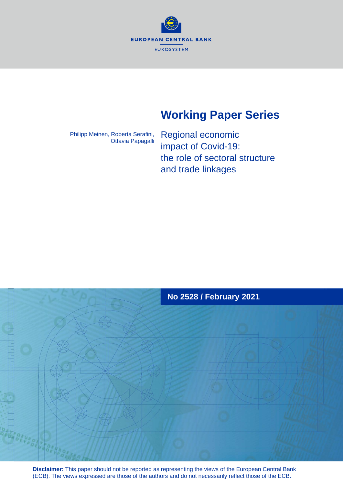**EUROPEAN CENTRAL BANK EUROSYSTEM** 

# **Working Paper Series**

Philipp Meinen, Roberta Serafini, Ottavia Papagalli

Regional economic impact of Covid-19: the role of sectoral structure and trade linkages



**Disclaimer:** This paper should not be reported as representing the views of the European Central Bank (ECB). The views expressed are those of the authors and do not necessarily reflect those of the ECB.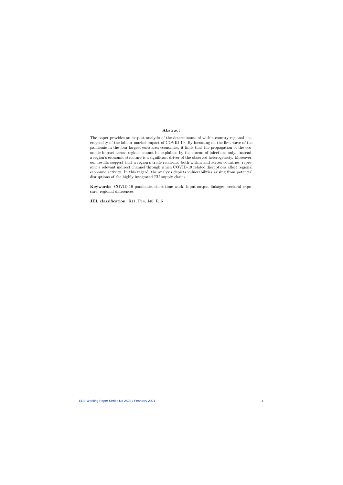#### Abstract

The paper provides an ex-post analysis of the determinants of within-country regional heterogeneity of the labour market impact of COVID-19. By focussing on the first wave of the pandemic in the four largest euro area economies, it finds that the propagation of the economic impact across regions cannot be explained by the spread of infections only. Instead, a region's economic structure is a significant driver of the observed heterogeneity. Moreover, our results suggest that a region's trade relations, both within and across countries, represent a relevant indirect channel through which COVID-19 related disruptions affect regional economic activity. In this regard, the analysis depicts vulnerabilities arising from potential disruptions of the highly integrated EU supply chains.

Keywords: COVID-19 pandemic, short-time work, input-output linkages, sectoral exposure, regional differences

JEL classification: R11, F14, J40, R15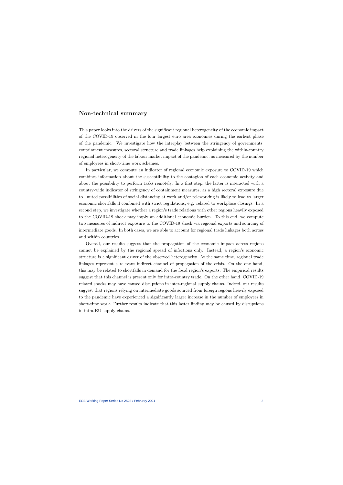### <span id="page-2-0"></span>Non-technical summary

This paper looks into the drivers of the significant regional heterogeneity of the economic impact of the COVID-19 observed in the four largest euro area economies during the earliest phase of the pandemic. We investigate how the interplay between the stringency of governments' containment measures, sectoral structure and trade linkages help explaining the within-country regional heterogeneity of the labour market impact of the pandemic, as measured by the number of employees in short-time work schemes.

In particular, we compute an indicator of regional economic exposure to COVID-19 which combines information about the susceptibility to the contagion of each economic activity and about the possibility to perform tasks remotely. In a first step, the latter is interacted with a country-wide indicator of stringency of containment measures, as a high sectoral exposure due to limited possibilities of social distancing at work and/or teleworking is likely to lead to larger economic shortfalls if combined with strict regulations, e.g. related to workplace closings. In a second step, we investigate whether a region's trade relations with other regions heavily exposed to the COVID-19 shock may imply an additional economic burden. To this end, we compute two measures of indirect exposure to the COVID-19 shock via regional exports and sourcing of intermediate goods. In both cases, we are able to account for regional trade linkages both across and within countries.

Overall, our results suggest that the propagation of the economic impact across regions cannot be explained by the regional spread of infections only. Instead, a region's economic structure is a significant driver of the observed heterogeneity. At the same time, regional trade linkages represent a relevant indirect channel of propagation of the crisis. On the one hand, this may be related to shortfalls in demand for the focal region's exports. The empirical results suggest that this channel is present only for intra-country trade. On the other hand, COVID-19 related shocks may have caused disruptions in inter-regional supply chains. Indeed, our results suggest that regions relying on intermediate goods sourced from foreign regions heavily exposed to the pandemic have experienced a significantly larger increase in the number of employees in short-time work. Further results indicate that this latter finding may be caused by disruptions in intra-EU supply chains.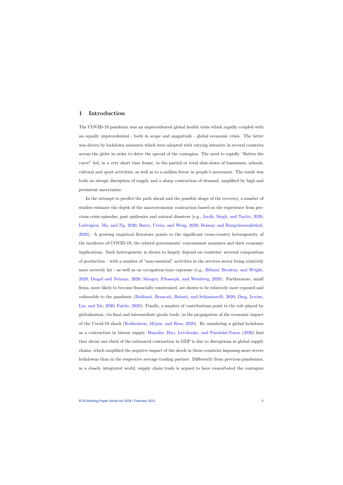### 1 Introduction

The COVID-19 pandemic was an unprecedented global health crisis which rapidly coupled with an equally unprecedented - both in scope and magnitude - global economic crisis. The latter was driven by lockdown measures which were adopted with varying intensity in several countries across the globe in order to deter the spread of the contagion. The need to rapidly "flatten the curve" led, in a very short time frame, to the partial or total shut-down of businesses, schools, cultural and sport activities, as well as to a sudden freeze in people's movement. The result was both an abrupt disruption of supply and a sharp contraction of demand, amplified by high and persistent uncertainty.

In the attempt to predict the path ahead and the possible shape of the recovery, a number of studies estimate the depth of the macroeconomic contraction based on the experience from previous crisis episodes, past epidemics and natural disasters (e.g., [Jord`a, Singh, and Taylor,](#page-18-0) [2020;](#page-18-0) [Ludvigson, Ma, and Ng,](#page-18-1) [2020;](#page-17-0) Barro, Ursúa, and Weng, 2020; [Boissay and Rungcharoenkitkul,](#page-17-1) [2020\)](#page-17-1). A growing empirical literature points to the significant cross-country heterogeneity of the incidence of COVID-19, the related governments' containment measures and their economic implications. Such heterogeneity is shown to largely depend on countries' sectoral composition of production – with a number of "non-essential" activities in the services sector being relatively more severely hit - as well as on occupation-type exposure (e.g., Béland, Brodeur, and Wright, [2020;](#page-17-2) [Dingel and Neiman,](#page-18-2) [2020;](#page-18-2) [Mongey, Pilossoph, and Weinberg,](#page-18-3) [2020\)](#page-18-3). Furthermore, small firms, more likely to become financially constrained, are shown to be relatively more exposed and vulnerable to the pandemic [\(Balduzzi, Brancati, Brianti, and Schiantarelli,](#page-17-3) [2020;](#page-17-3) [Ding, Levine,](#page-18-4) [Lin, and Xie,](#page-18-4) [2020;](#page-18-4) [Fairlie,](#page-18-5) [2020\)](#page-18-5). Finally, a number of contributions point to the role played by globalisation, via final and intermediate goods trade, in the propagation of the economic impact of the Covid-19 shock [\(Kohlscheen, Mojon, and Rees,](#page-18-6) [2020\)](#page-18-6). By simulating a global lockdown as a contraction in labour supply, [Bonadio, Huo, Levchenko, and Pandalai-Nayar](#page-17-4) [\(2020\)](#page-17-4) find that about one third of the estimated contraction in GDP is due to disruptions in global supply chains, which amplified the negative impact of the shock in those countries imposing more severe lockdowns than in the respective average trading partner. Differently from previous pandemics, in a closely integrated world, supply chain trade is argued to have exacerbated the contagion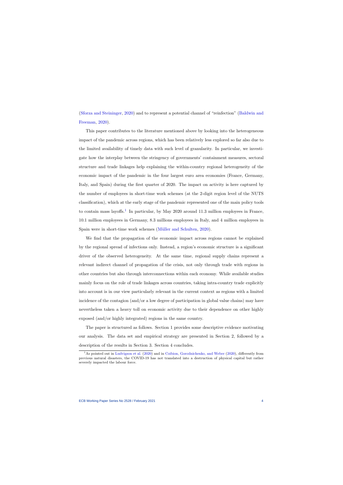[\(Sforza and Steininger,](#page-19-0) [2020\)](#page-19-0) and to represent a potential channel of "reinfection" [\(Baldwin and](#page-17-5) [Freeman,](#page-17-5) [2020\)](#page-17-5).

This paper contributes to the literature mentioned above by looking into the heterogeneous impact of the pandemic across regions, which has been relatively less explored so far also due to the limited availability of timely data with such level of granularity. In particular, we investigate how the interplay between the stringency of governments' containment measures, sectoral structure and trade linkages help explaining the within-country regional heterogeneity of the economic impact of the pandemic in the four largest euro area economies (France, Germany, Italy, and Spain) during the first quarter of 2020. The impact on activity is here captured by the number of employees in short-time work schemes (at the 2-digit region level of the NUTS classification), which at the early stage of the pandemic represented one of the main policy tools to contain mass layoffs.<sup>[1](#page-2-0)</sup> In particular, by May 2020 around 11.3 million employees in France, 10.1 million employees in Germany, 8.3 millions employees in Italy, and 4 million employees in Spain were in short-time work schemes (Müller and Schulten, [2020\)](#page-18-7).

We find that the propagation of the economic impact across regions cannot be explained by the regional spread of infections only. Instead, a region's economic structure is a significant driver of the observed heterogeneity. At the same time, regional supply chains represent a relevant indirect channel of propagation of the crisis, not only through trade with regions in other countries but also through interconnections within each economy. While available studies mainly focus on the role of trade linkages across countries, taking intra-country trade explicitly into account is in our view particularly relevant in the current context as regions with a limited incidence of the contagion (and/or a low degree of participation in global value chains) may have nevertheless taken a heavy toll on economic activity due to their dependence on other highly exposed (and/or highly integrated) regions in the same country.

The paper is structured as follows. Section 1 provides some descriptive evidence motivating our analysis. The data set and empirical strategy are presented in Section 2, followed by a description of the results in Section 3. Section 4 concludes.

<sup>&</sup>lt;sup>1</sup>As pointed out in [Ludvigson et](#page-18-1) al. [\(2020\)](#page-17-6) and in [Coibion, Gorodnichenko, and Weber](#page-17-6) (2020), differently from previous natural disasters, the COVID-19 has not translated into a destruction of physical capital but rather severely impacted the labour force.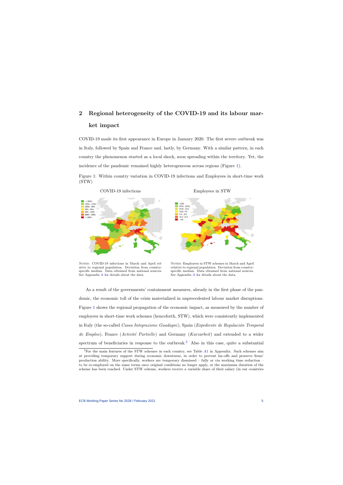# 2 Regional heterogeneity of the COVID-19 and its labour market impact

COVID-19 made its first appearance in Europe in January 2020. The first severe outbreak was in Italy, followed by Spain and France and, lastly, by Germany. With a similar pattern, in each country the phenomenon started as a local shock, soon spreading within the territory. Yet, the incidence of the pandemic remained highly heterogeneous across regions (Figure [1\)](#page-5-0).

Figure 1: Within country variation in COVID-19 infections and Employees in short-time work (STW)



<span id="page-5-0"></span>NOTES: COVID-19 infections in March and April relative to regional population. Deviation from countryspecific median. Data obtained from national sources. See Appendix [A](#page-20-0) for details about the data.





NOTES: Employees in STW schemes in March and April relative to regional population. Deviation from countryspecific median. Data obtained from national sources. See Appendix [A](#page-20-0) for details about the data.

As a result of the governments' containment measures, already in the first phase of the pandemic, the economic toll of the crisis materialized in unprecedented labour market disruptions. Figure [1](#page-5-0) shows the regional propagation of the economic impact, as measured by the number of employees in short-time work schemes (henceforth, STW), which were consistently implemented in Italy (the so-called *Cassa Integrazione Guadagni*), Spain (*Expediente de Regulación Temporal* de Empleo), France (Activité Partielle) and Germany (Kurzarbeit) and extended to a wider spectrum of beneficiaries in response to the outbreak.<sup>[2](#page-2-0)</sup> Also in this case, quite a substantial

<sup>2</sup>For the main features of the STW schemes in each country, see Table [A1](#page-20-1) in Appendix. Such schemes aim at providing temporary support during economic downturns, in order to prevent lay-offs and preserve firms' production ability. More specifically, workers are temporary dismissed – fully or via working time reduction – to be re-employed on the same terms once original conditions no longer apply, or the maximum duration of the scheme has been reached. Under STW scheme, workers receive a variable share of their salary (in our countries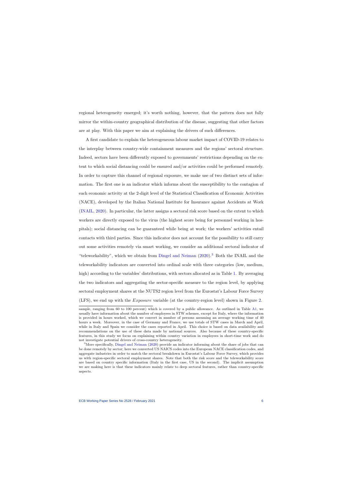regional heterogeneity emerged; it's worth nothing, however, that the pattern does not fully mirror the within-country geographical distribution of the disease, suggesting that other factors are at play. With this paper we aim at explaining the drivers of such differences.

A first candidate to explain the heterogeneous labour market impact of COVID-19 relates to the interplay between country-wide containment measures and the regions' sectoral structure. Indeed, sectors have been differently exposed to governments' restrictions depending on the extent to which social distancing could be ensured and/or activities could be performed remotely. In order to capture this channel of regional exposure, we make use of two distinct sets of information. The first one is an indicator which informs about the susceptibility to the contagion of each economic activity at the 2-digit level of the Statistical Classification of Economic Activities (NACE), developed by the Italian National Institute for Insurance against Accidents at Work [\(INAIL,](#page-18-8) [2020\)](#page-18-8). In particular, the latter assigns a sectoral risk score based on the extent to which workers are directly exposed to the virus (the highest score being for personnel working in hospitals); social distancing can be guaranteed while being at work; the workers' activities entail contacts with third parties. Since this indicator does not account for the possibility to still carry out some activities remotely via smart working, we consider an additional sectoral indicator of "teleworkability", which we obtain from [Dingel and Neiman](#page-18-2) [\(2020\)](#page-18-2).[3](#page-2-0) Both the INAIL and the teleworkability indicators are converted into ordinal scale with three categories (low, medium, high) according to the variables' distributions, with sectors allocated as in Table [1.](#page-7-0) By averaging the two indicators and aggregating the sector-specific measure to the region level, by applying sectoral employment shares at the NUTS2 region level from the Eurostat's Labour Force Survey (LFS), we end up with the Exposure variable (at the country-region level) shown in Figure [2.](#page-7-1)

sample, ranging from 60 to 100 percent) which is covered by a public allowance. As outlined in Table [A1,](#page-20-1) we usually have information about the number of employees in STW schemes, except for Italy, where the information is provided in hours worked, which we convert in number of persons assuming an average working time of 40 hours a week. Moreover, in the case of Germany and France, we use totals of STW cases in March and April, while in Italy and Spain we consider the cases reported in April. This choice is based on data availability and recommendations on the use of these data made by national sources. Also because of these country-specific features, in this study we focus on explaining within country variation in employees in short-time work and do not investigate potential drivers of cross-country heterogeneity.

<sup>&</sup>lt;sup>3</sup>More specifically, [Dingel and Neiman](#page-18-2) [\(2020\)](#page-18-2) provide an indicator informing about the share of jobs that can be done remotely by sector; here we converted US NAICS codes into the European NACE classification codes, and aggregate industries in order to match the sectoral breakdown in Eurostat's Labour Force Survey, which provides us with region-specific sectoral employment shares. Note that both the risk score and the teleworkability score are based on country specific information (Italy in the first case, US in the second). The implicit assumption we are making here is that these indicators mainly relate to deep sectoral features, rather than country-specific aspects.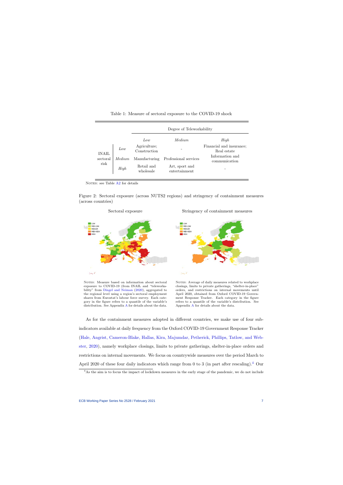|                                  |        | Degree of Teleworkability    |                                 |                                         |  |  |
|----------------------------------|--------|------------------------------|---------------------------------|-----------------------------------------|--|--|
|                                  |        | Low                          | Medium.                         | High                                    |  |  |
| <b>INAIL</b><br>sectoral<br>risk | Low    | Agriculture;<br>Construction |                                 | Financial and insurance;<br>Real estate |  |  |
|                                  | Medium | Manufacturing                | Professional services           | Information and<br>communication        |  |  |
|                                  | High   | Retail and<br>wholesale      | Art, sport and<br>entertainment |                                         |  |  |

Table 1: Measure of sectoral exposure to the COVID-19 shock

NOTES: see Table [A2](#page-21-0) for details

<span id="page-7-0"></span>Figure 2: Sectoral exposure (across NUTS2 regions) and stringency of containment measures (across countries)



<span id="page-7-1"></span>NOTES: Measure based on information about sectoral exposure to COVID-19 (from INAIL and "teleworkability" from [Dingel and Neiman](#page-18-2) [\(2020\)](#page-18-2), aggregated to the regional level using a region's sectoral employment shares from Eurostat's labour force survey. Each category in the figure refers to a quantile of the variable's distribution. See Appendix [A](#page-20-0) for details about the data.

Stringency of containment measures



NOTES: Average of daily measures related to workplace closings, limits to private gatherings, "shelter-in-place" orders, and restrictions on internal movements until April 2020, obtained from Oxford COVID-19 Government Response Tracker. Each category in the figure refers to a quantile of the variable's distribution. See Appendix [A](#page-20-0) for details about the data.

As for the containment measures adopted in different countries, we make use of four subindicators available at daily frequency from the Oxford COVID-19 Government Response Tracker [\(Hale, Angrist, Cameron-Blake, Hallas, Kira, Majumdar, Petherick, Phillips, Tatlow, and Web](#page-18-9)[ster,](#page-18-9) [2020\)](#page-18-9), namely workplace closings, limits to private gatherings, shelter-in-place orders and restrictions on internal movements. We focus on countrywide measures over the period March to April 2020 of these four daily indicators which range from 0 to 3 (in part after rescaling).<sup>[4](#page-2-0)</sup> Our

<sup>4</sup>As the aim is to focus the impact of lockdown measures in the early stage of the pandemic, we do not include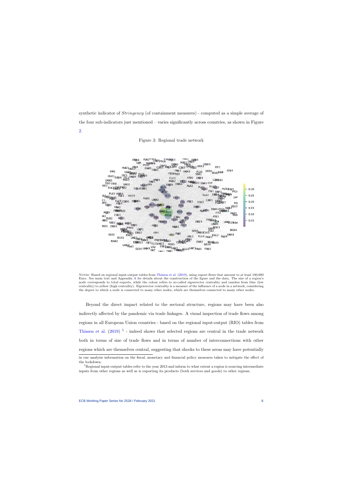synthetic indicator of *Stringency* (of containment measures) - computed as a simple average of the four sub-indicators just mentioned – varies significantly across countries, as shown in Figure [2.](#page-7-1)





<span id="page-8-0"></span>NOTES: Based on regional input-output tables from [Thissen](#page-19-1) et al. [\(2019\)](#page-19-1), using export flows that amount to at least 100,000 Euro. See main text and Appendix [A](#page-20-0) for details about the construction of the figure and the data. The size of a region's node corresponds to total exports, while the colour refers to so-called eigenvector centrality and ranches from blue (low centrality) to yellow (high centrality). Eigenvector centrality is a measure of the influence of a node in a network, considering the degree to which a node is connected to many other nodes, which are themselves connected to many other nodes.

Beyond the direct impact related to the sectoral structure, regions may have been also indirectly affected by the pandemic via trade linkages. A visual inspection of trade flows among regions in all European Union countries - based on the regional input-output (RIO) tables from [Thissen et al.](#page-19-1)  $(2019)^{5}$  $(2019)^{5}$  $(2019)^{5}$  $(2019)^{5}$  - indeed shows that selected regions are central in the trade network both in terms of size of trade flows and in terms of number of interconnections with other regions which are themselves central, suggesting that shocks to these areas may have potentially in our analysis information on the fiscal, monetary and financial policy measures taken to mitigate the effect of

inputs from other regions as well as is exporting its products (both services and goods) to other regions.

the lockdown.  ${}^{5}$ Regional input-output tables refer to the year 2013 and inform to what extent a region is sourcing intermediate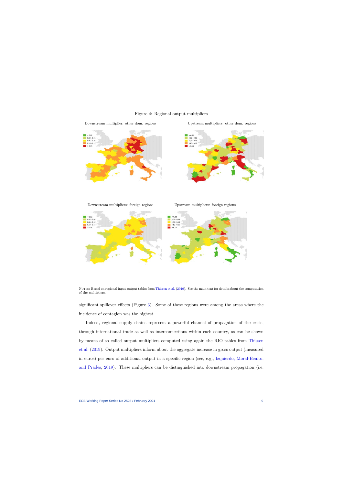



Downstream multiplier: other dom. regions Upstream multipliers: other dom. regions

Downstream multipliers: foreign regions Upstream multipliers: foreign regions

<span id="page-9-0"></span>

Notes: Based on regional input-output tables from [Thissen et al.](#page-19-1) [\(2019\)](#page-19-1). See the main text for details about the computation of the multipliers.

significant spillover effects (Figure [3\)](#page-8-0). Some of these regions were among the areas where the incidence of contagion was the highest.

Indeed, regional supply chains represent a powerful channel of propagation of the crisis, through international trade as well as interconnections within each country, as can be shown by means of so called output multipliers computed using again the RIO tables from [Thissen](#page-19-1) [et al.](#page-19-1) [\(2019\)](#page-19-1). Output multipliers inform about the aggregate increase in gross output (measured in euros) per euro of additional output in a specific region (see, e.g., [Izquierdo, Moral-Benito,](#page-18-10) [and Prades,](#page-18-10) [2019\)](#page-18-10). These multipliers can be distinguished into downstream propagation (i.e.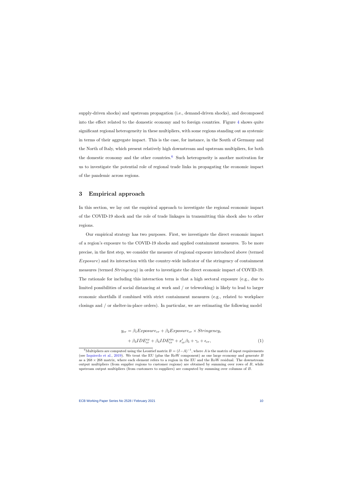supply-driven shocks) and upstream propagation (i.e., demand-driven shocks), and decomposed into the effect related to the domestic economy and to foreign countries. Figure [4](#page-9-0) shows quite significant regional heterogeneity in these multipliers, with some regions standing out as systemic in terms of their aggregate impact. This is the case, for instance, in the South of Germany and the North of Italy, which present relatively high downstream and upstream multipliers, for both the domestic economy and the other countries.<sup>[6](#page-2-0)</sup> Such heterogeneity is another motivation for us to investigate the potential role of regional trade links in propagating the economic impact of the pandemic across regions.

### 3 Empirical approach

In this section, we lay out the empirical approach to investigate the regional economic impact of the COVID-19 shock and the role of trade linkages in transmitting this shock also to other regions.

Our empirical strategy has two purposes. First, we investigate the direct economic impact of a region's exposure to the COVID-19 shocks and applied containment measures. To be more precise, in the first step, we consider the measure of regional exposure introduced above (termed Exposure) and its interaction with the country-wide indicator of the stringency of containment measures (termed Stringency) in order to investigate the direct economic impact of COVID-19. The rationale for including this interaction term is that a high sectoral exposure (e.g., due to limited possibilities of social distancing at work and / or teleworking) is likely to lead to larger economic shortfalls if combined with strict containment measures (e.g., related to workplace closings and / or shelter-in-place orders). In particular, we are estimating the following model

<span id="page-10-0"></span>
$$
y_{cr} = \beta_1 Exposure_{cr} + \beta_2 Exposure_{cr} \times Stringency_c + \beta_3 IDE_{cr}^{ex} + \beta_4 IDE_{cr}^{im} + x_{cr}'\beta_5 + \gamma_c + \epsilon_{cr},
$$
(1)

<sup>&</sup>lt;sup>6</sup>Multipliers are computed using the Leontief matrix  $B = (I - A)^{-1}$ , where A is the matrix of input requirements (see [Izquierdo et al.,](#page-18-10) [2019\)](#page-18-10). We treat the EU (plus the RoW component) as one large economy and generate  $B$ as a 268 × 268 matrix, where each element refers to a region in the EU and the RoW residual. The downstream output multipliers (from supplier regions to customer regions) are obtained by summing over rows of B, while upstream output multipliers (from customers to suppliers) are computed by summing over columns of B.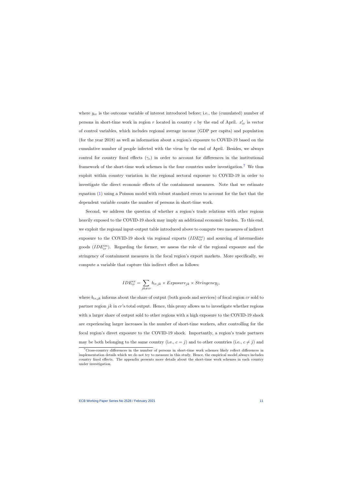where  $y_{cr}$  is the outcome variable of interest introduced before; i.e., the (cumulated) number of persons in short-time work in region r located in country c by the end of April.  $x'_{cr}$  is vector of control variables, which includes regional average income (GDP per capita) and population (for the year 2018) as well as information about a region's exposure to COVID-19 based on the cumulative number of people infected with the virus by the end of April. Besides, we always control for country fixed effects  $(\gamma_c)$  in order to account for differences in the institutional framework of the short-time work schemes in the four countries under investigation.[7](#page-2-0) We thus exploit within country variation in the regional sectoral exposure to COVID-19 in order to investigate the direct economic effects of the containment measures. Note that we estimate equation [\(1\)](#page-10-0) using a Poisson model with robust standard errors to account for the fact that the dependent variable counts the number of persons in short-time work.

Second, we address the question of whether a region's trade relations with other regions heavily exposed to the COVID-19 shock may imply an additional economic burden. To this end, we exploit the regional input-output table introduced above to compute two measures of indirect exposure to the COVID-19 shock via regional exports  $(ID E_{cr}^{ex})$  and sourcing of intermediate goods  $(ID E<sub>cr</sub><sup>im</sup>)$ . Regarding the former, we assess the role of the regional exposure and the stringency of containment measures in the focal region's export markets. More specifically, we compute a variable that capture this indirect effect as follows:

$$
IDE_{cr}^{ex} = \sum_{jk \neq cr} b_{cr,jk} \times Expasure_{jk} \times Stringency_j,
$$

where  $b_{cr,jk}$  informs about the share of output (both goods and services) of focal region cr sold to partner region jk in  $cr$ 's total output. Hence, this proxy allows us to investigate whether regions with a larger share of output sold to other regions with a high exposure to the COVID-19 shock are experiencing larger increases in the number of short-time workers, after controlling for the focal region's direct exposure to the COVID-19 shock. Importantly, a region's trade partners may be both belonging to the same country (i.e.,  $c = j$ ) and to other countries (i.e.,  $c \neq j$ ) and

<sup>7</sup>Cross-country differences in the number of persons in short-time work schemes likely reflect differences in implementation details which we do not try to measure in this study. Hence, the empirical model always includes country fixed effects. The appendix presents more details about the short-time work schemes in each country under investigation.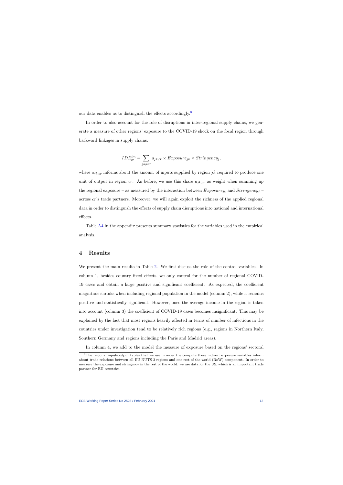our data enables us to distinguish the effects accordingly.[8](#page-2-0)

In order to also account for the role of disruptions in inter-regional supply chains, we generate a measure of other regions' exposure to the COVID-19 shock on the focal region through backward linkages in supply chains:

$$
IDE_{cr}^{im} = \sum_{jk \neq cr} a_{jk,cr} \times Exposure_{jk} \times Stringency_j,
$$

where  $a_{ik,cr}$  informs about the amount of inputs supplied by region jk required to produce one unit of output in region cr. As before, we use this share  $a_{jk,cr}$  as weight when summing up the regional exposure – as measured by the interaction between  $Exposure_{jk}$  and  $Stringency_j$  – across cr's trade partners. Moreover, we will again exploit the richness of the applied regional data in order to distinguish the effects of supply chain disruptions into national and international effects.

Table [A4](#page-22-0) in the appendix presents summary statistics for the variables used in the empirical analysis.

### 4 Results

We present the main results in Table [2.](#page-13-0) We first discuss the role of the control variables. In column 1, besides country fixed effects, we only control for the number of regional COVID-19 cases and obtain a large positive and significant coefficient. As expected, the coefficient magnitude shrinks when including regional population in the model (column 2), while it remains positive and statistically significant. However, once the average income in the region is taken into account (column 3) the coefficient of COVID-19 cases becomes insignificant. This may be explained by the fact that most regions heavily affected in terms of number of infections in the countries under investigation tend to be relatively rich regions (e.g., regions in Northern Italy, Southern Germany and regions including the Paris and Madrid areas).

In column 4, we add to the model the measure of exposure based on the regions' sectoral

<sup>&</sup>lt;sup>8</sup>The regional input-output tables that we use in order the compute these indirect exposure variables inform about trade relations between all EU NUTS-2 regions and one rest-of-the-world (RoW) component. In order to measure the exposure and stringency in the rest of the world, we use data for the US, which is an important trade partner for EU countries.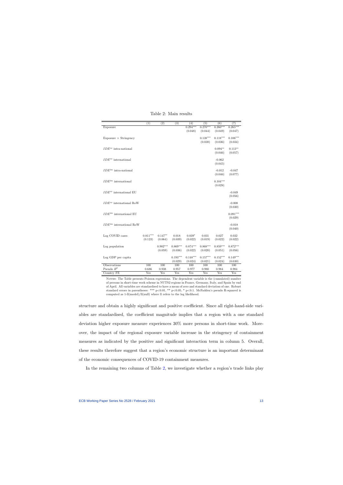<span id="page-13-0"></span>

| (7)                                                                                                              |
|------------------------------------------------------------------------------------------------------------------|
|                                                                                                                  |
| $0.265***$                                                                                                       |
| (0.047)                                                                                                          |
|                                                                                                                  |
| $0.106***$                                                                                                       |
| (0.034)                                                                                                          |
|                                                                                                                  |
|                                                                                                                  |
| (0.057)                                                                                                          |
|                                                                                                                  |
|                                                                                                                  |
|                                                                                                                  |
|                                                                                                                  |
|                                                                                                                  |
|                                                                                                                  |
|                                                                                                                  |
|                                                                                                                  |
|                                                                                                                  |
|                                                                                                                  |
|                                                                                                                  |
|                                                                                                                  |
|                                                                                                                  |
|                                                                                                                  |
|                                                                                                                  |
| $0.091***$                                                                                                       |
| (0.029)                                                                                                          |
|                                                                                                                  |
| $-0.018$                                                                                                         |
|                                                                                                                  |
|                                                                                                                  |
| 0.032                                                                                                            |
| (0.022)                                                                                                          |
|                                                                                                                  |
| $0.872***$                                                                                                       |
| (0.056)                                                                                                          |
|                                                                                                                  |
| $0.149***$                                                                                                       |
| (0.030)                                                                                                          |
|                                                                                                                  |
|                                                                                                                  |
|                                                                                                                  |
| $0.113**$<br>$-0.047$<br>(0.077)<br>$-0.049$<br>(0.056)<br>$-0.008$<br>(0.030)<br>(0.040)<br>100<br>0.984<br>Yes |

Table 2: Main results

NOTES: The Table presents Poisson regressions. The dependent variable is the (cumulated) number of persons in short-time work scheme in NUTS2 regions in France, Germany, Italy, and Spain by end of April. All variables are standardised to have a mean of zero and standard deviation of one. Robust standard errors in parentheses: \*\*\* p<0.01, \*\* p<0.05, \* p<0.1. McFadden's pseudo R-squared is computed as 1-ll(model)/ll(null) where ll refers to the log likelihood.

structure and obtain a highly significant and positive coefficient. Since all right-hand-side variables are standardised, the coefficient magnitude implies that a region with a one standard deviation higher exposure measure experiences 30% more persons in short-time work. Moreover, the impact of the regional exposure variable increase in the stringency of containment measures as indicated by the positive and significant interaction term in column 5. Overall, these results therefore suggest that a region's economic structure is an important determinant of the economic consequences of COVID-19 containment measures.

In the remaining two columns of Table [2,](#page-13-0) we investigate whether a region's trade links play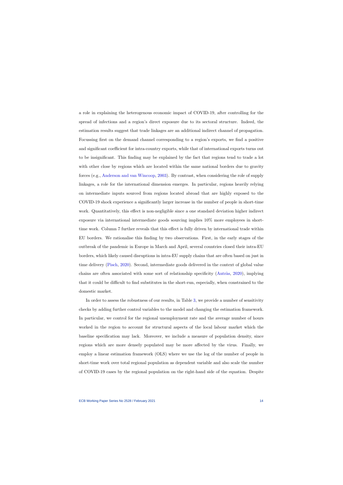a role in explaining the heterogenous economic impact of COVID-19, after controlling for the spread of infections and a region's direct exposure due to its sectoral structure. Indeed, the estimation results suggest that trade linkages are an additional indirect channel of propagation. Focussing first on the demand channel corresponding to a region's exports, we find a positive and significant coefficient for intra-country exports, while that of international exports turns out to be insignificant. This finding may be explained by the fact that regions tend to trade a lot with other close by regions which are located within the same national borders due to gravity forces (e.g., [Anderson and van Wincoop,](#page-17-7) [2003\)](#page-17-7). By contrast, when considering the role of supply linkages, a role for the international dimension emerges. In particular, regions heavily relying on intermediate inputs sourced from regions located abroad that are highly exposed to the COVID-19 shock experience a significantly larger increase in the number of people in short-time work. Quantitatively, this effect is non-negligible since a one standard deviation higher indirect exposure via international intermediate goods sourcing implies 10% more employees in shorttime work. Column 7 further reveals that this effect is fully driven by international trade within EU borders. We rationalise this finding by two observations. First, in the early stages of the outbreak of the pandemic in Europe in March and April, several countries closed their intra-EU borders, which likely caused disruptions in intra-EU supply chains that are often based on just in time delivery [\(Pisch,](#page-19-2) [2020\)](#page-19-2). Second, intermediate goods delivered in the context of global value chains are often associated with some sort of relationship specificity (Antràs, [2020\)](#page-17-8), implying that it could be difficult to find substitutes in the short-run, especially, when constrained to the domestic market.

In order to assess the robustness of our results, in Table [3,](#page-15-0) we provide a number of sensitivity checks by adding further control variables to the model and changing the estimation framework. In particular, we control for the regional unemployment rate and the average number of hours worked in the region to account for structural aspects of the local labour market which the baseline specification may lack. Moreover, we include a measure of population density, since regions which are more densely populated may be more affected by the virus. Finally, we employ a linear estimation framework (OLS) where we use the log of the number of people in short-time work over total regional population as dependent variable and also scale the number of COVID-19 cases by the regional population on the right-hand side of the equation. Despite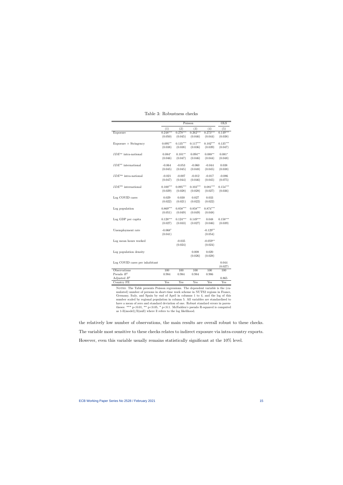<span id="page-15-0"></span>

|                                |            | $\overline{\mathrm{OLS}}$ |            |            |            |
|--------------------------------|------------|---------------------------|------------|------------|------------|
|                                | (1)        | (2)                       | (3)        | (4)        | (5)        |
| Exposure                       | $0.248***$ | $0.278***$                | $0.262***$ | $0.273***$ | $0.149***$ |
|                                | (0.050)    | (0.045)                   | (0.046)    | (0.044)    | (0.038)    |
| $Exposure \times Stringency$   | $0.095**$  | $0.135***$                | $0.117***$ | $0.102***$ | $0.135***$ |
|                                | (0.038)    | (0.038)                   | (0.036)    | (0.039)    | (0.047)    |
| $IDE^{ex}$ intra-national      | $0.084*$   | $0.101**$                 | $0.094**$  | $0.088**$  | $0.081*$   |
|                                | (0.046)    | (0.047)                   | (0.046)    | (0.044)    | (0.048)    |
| $IDE^{ex}$ international       | $-0.064$   | $-0.053$                  | $-0.060$   | $-0.044$   | 0.038      |
|                                | (0.045)    | (0.045)                   | (0.048)    | (0.045)    | (0.038)    |
| $IDE^{im}$ intra-national      | $-0.021$   | $-0.007$                  | $-0.012$   | $-0.017$   | $-0.086$   |
|                                | (0.047)    | (0.044)                   | (0.046)    | (0.045)    | (0.075)    |
| $IDE^{im}$ international       | $0.100***$ | $0.095***$                | $0.103***$ | $0.081***$ | $0.154***$ |
|                                | (0.029)    | (0.028)                   | (0.028)    | (0.027)    | (0.036)    |
| Log COVID cases                | 0.029      | 0.030                     | 0.027      | 0.033      |            |
|                                | (0.022)    | (0.021)                   | (0.022)    | (0.022)    |            |
| Log population                 | $0.869***$ | $0.858***$                | $0.858***$ | $0.874***$ |            |
|                                | (0.051)    | (0.049)                   | (0.049)    | (0.048)    |            |
| Log GDP per capita             | $0.128***$ | $0.124***$                | $0.149***$ | 0.048      | $0.158***$ |
|                                | (0.027)    | (0.033)                   | (0.027)    | (0.046)    | (0.039)    |
| Unemployment rate              | $-0.068*$  |                           |            | $-0.129**$ |            |
|                                | (0.041)    |                           |            | (0.054)    |            |
| Log mean hours worked          |            | $-0.035$                  |            | $-0.059**$ |            |
|                                |            | (0.024)                   |            | (0.024)    |            |
| Log population density         |            |                           | 0.008      | 0.020      |            |
|                                |            |                           | (0.026)    | (0.028)    |            |
| Log COVID cases per inhabitant |            |                           |            |            | 0.044      |
|                                |            |                           |            |            | (0.027)    |
| Observations                   | 100        | 100                       | 100        | 100        | 100        |
| Pseudo $R^2$                   | 0.984      | 0.984                     | 0.984      | 0.986      |            |
| Adjusted $R^2$                 |            |                           |            |            | 0.865      |
| Country FE                     | Yes        | Yes                       | Yes        | Yes        | Yes        |

Table 3: Robustness checks

NOTES: The Table presents Poisson regressions. The dependent variable is the (cumulated) number of persons in short-time work scheme in NUTS2 regions in France, Germany, Italy, and Spain by end of April in columns 1 to 4, and the log of this number scaled by regional population in column 5. All variables are standardised to have a mean of zero and standard deviation of one. Robust standard errors in parentheses: \*\*\* p<0.01, \*\* p<0.05, \* p<0.1. McFadden's pseudo R-squared is computed as 1-ll(model)/ll(null) where ll refers to the log likelihood.

the relatively low number of observations, the main results are overall robust to these checks. The variable most sensitive to these checks relates to indirect exposure via intra-country exports. However, even this variable usually remains statistically significant at the 10% level.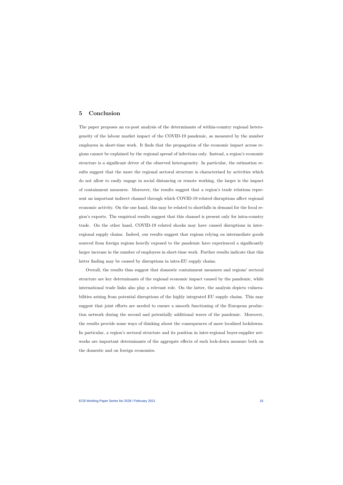## 5 Conclusion

The paper proposes an ex-post analysis of the determinants of within-country regional heterogeneity of the labour market impact of the COVID-19 pandemic, as measured by the number employees in short-time work. It finds that the propagation of the economic impact across regions cannot be explained by the regional spread of infections only. Instead, a region's economic structure is a significant driver of the observed heterogeneity. In particular, the estimation results suggest that the more the regional sectoral structure is characterised by activities which do not allow to easily engage in social distancing or remote working, the larger is the impact of containment measures. Moreover, the results suggest that a region's trade relations represent an important indirect channel through which COVID-19 related disruptions affect regional economic activity. On the one hand, this may be related to shortfalls in demand for the focal region's exports. The empirical results suggest that this channel is present only for intra-country trade. On the other hand, COVID-19 related shocks may have caused disruptions in interregional supply chains. Indeed, our results suggest that regions relying on intermediate goods sourced from foreign regions heavily exposed to the pandemic have experienced a significantly larger increase in the number of employees in short-time work. Further results indicate that this latter finding may be caused by disruptions in intra-EU supply chains.

Overall, the results thus suggest that domestic containment measures and regions' sectoral structure are key determinants of the regional economic impact caused by the pandemic, while international trade links also play a relevant role. On the latter, the analysis depicts vulnerabilities arising from potential disruptions of the highly integrated EU supply chains. This may suggest that joint efforts are needed to ensure a smooth functioning of the European production network during the second and potentially additional waves of the pandemic. Moreover, the results provide some ways of thinking about the consequences of more localised lockdowns. In particular, a region's sectoral structure and its position in inter-regional buyer-supplier networks are important determinants of the aggregate effects of such lock-down measure both on the domestic and on foreign economies.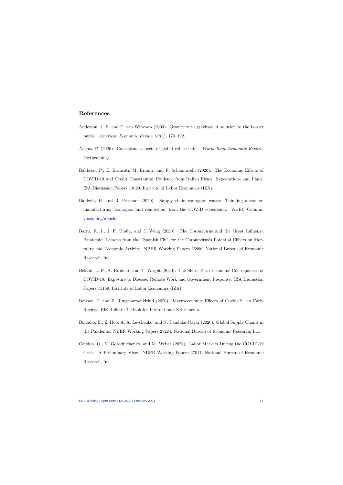## References

- Anderson, J. E. and E. van Wincoop (2003). Gravity with gravitas: A solution to the border puzzle. American Economic Review 93 (1), 170–192.
- Antràs, P. (2020). Conceptual aspects of global value chains. World Bank Economic Review, Forthcoming.
- Balduzzi, P., E. Brancati, M. Brianti, and F. Schiantarelli (2020). The Economic Effects of COVID-19 and Credit Constraints: Evidence from Italian Firms' Expectations and Plans. IZA Discussion Papers 13629, Institute of Labor Economics (IZA).
- <span id="page-17-8"></span><span id="page-17-7"></span>Baldwin, R. and R. Freeman (2020). Supply chain contagion waves: Thinking ahead on manufacturing 'contagion and reinfection' from the COVID concussion. VoxEU Column, [voxeu.org/article.](https://voxeu.org/article/covid-concussion-and-supply-chain-contagion-waves)
- <span id="page-17-3"></span>Barro, R. J., J. F. Ursúa, and J. Weng (2020). The Coronavirus and the Great Influenza Pandemic: Lessons from the "Spanish Flu" for the Coronavirus's Potential Effects on Mortality and Economic Activity. NBER Working Papers 26866, National Bureau of Economic Research, Inc.
- <span id="page-17-5"></span>B´eland, L.-P., A. Brodeur, and T. Wright (2020). The Short-Term Economic Consequences of COVID-19: Exposure to Disease, Remote Work and Government Response. IZA Discussion Papers 13159, Institute of Labor Economics (IZA).
- <span id="page-17-0"></span>Boissay, F. and P. Rungcharoenkitkul (2020). Macroeconomic Effects of Covid-19: an Early Review. BIS Bulletin 7, Bank for International Settlements.
- Bonadio, B., Z. Huo, A. A. Levchenko, and N. Pandalai-Nayar (2020). Global Supply Chains in the Pandemic. NBER Working Papers 27224, National Bureau of Economic Research, Inc.
- <span id="page-17-6"></span><span id="page-17-4"></span><span id="page-17-2"></span><span id="page-17-1"></span>Coibion, O., Y. Gorodnichenko, and M. Weber (2020). Labor Markets During the COVID-19 Crisis: A Preliminary View. NBER Working Papers 27017, National Bureau of Economic Research, Inc.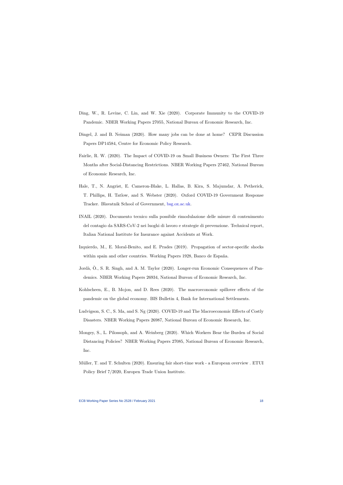- Ding, W., R. Levine, C. Lin, and W. Xie (2020). Corporate Immunity to the COVID-19 Pandemic. NBER Working Papers 27055, National Bureau of Economic Research, Inc.
- Dingel, J. and B. Neiman (2020). How many jobs can be done at home? CEPR Discussion Papers DP14584, Centre for Economic Policy Research.
- Fairlie, R. W. (2020). The Impact of COVID-19 on Small Business Owners: The First Three Months after Social-Distancing Restrictions. NBER Working Papers 27462, National Bureau of Economic Research, Inc.
- <span id="page-18-4"></span><span id="page-18-2"></span>Hale, T., N. Angrist, E. Cameron-Blake, L. Hallas, B. Kira, S. Majumdar, A. Petherick, T. Phillips, H. Tatlow, and S. Webster (2020). Oxford COVID-19 Government Response Tracker. Blavatnik School of Government, [bsg.ox.ac.uk.](https://www.bsg.ox.ac.uk/research/research-projects/coronavirus-government-response-tracker)
- <span id="page-18-5"></span>INAIL (2020). Documento tecnico sulla possibile rimodulazione delle misure di contenimento del contagio da SARS-CoV-2 nei luoghi di lavoro e strategie di prevenzione. Technical report, Italian National Institute for Insurance against Accidents at Work.
- <span id="page-18-9"></span>Izquierdo, M., E. Moral-Benito, and E. Prades (2019). Propagation of sector-specific shocks within spain and other countries. Working Papers 1928, Banco de España.
- Jordà, O., S. R. Singh, and A. M. Taylor (2020). Longer-run Economic Consequences of Pandemics. NBER Working Papers 26934, National Bureau of Economic Research, Inc.
- <span id="page-18-8"></span>Kohlscheen, E., B. Mojon, and D. Rees (2020). The macroeconomic spillover effects of the pandemic on the global economy. BIS Bulletin 4, Bank for International Settlements.
- <span id="page-18-10"></span>Ludvigson, S. C., S. Ma, and S. Ng (2020). COVID-19 and The Macroeconomic Effects of Costly Disasters. NBER Working Papers 26987, National Bureau of Economic Research, Inc.
- <span id="page-18-0"></span>Mongey, S., L. Pilossoph, and A. Weinberg (2020). Which Workers Bear the Burden of Social Distancing Policies? NBER Working Papers 27085, National Bureau of Economic Research, Inc.
- <span id="page-18-7"></span><span id="page-18-6"></span><span id="page-18-3"></span><span id="page-18-1"></span>Müller, T. and T. Schulten (2020). Ensuring fair short-time work - a European overview . ETUI Policy Brief 7/2020, Europen Trade Union Institute.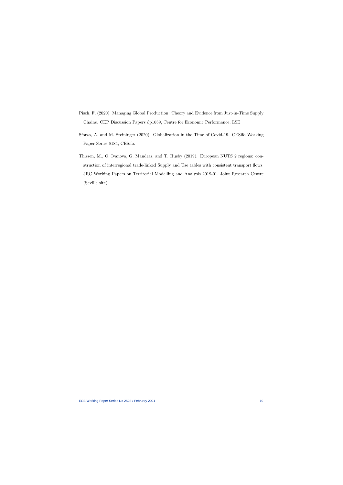- Pisch, F. (2020). Managing Global Production: Theory and Evidence from Just-in-Time Supply Chains. CEP Discussion Papers dp1689, Centre for Economic Performance, LSE.
- Sforza, A. and M. Steininger (2020). Globalization in the Time of Covid-19. CESifo Working Paper Series 8184, CESifo.
- <span id="page-19-2"></span><span id="page-19-1"></span><span id="page-19-0"></span>Thissen, M., O. Ivanova, G. Mandras, and T. Husby (2019). European NUTS 2 regions: construction of interregional trade-linked Supply and Use tables with consistent transport flows. JRC Working Papers on Territorial Modelling and Analysis 2019-01, Joint Research Centre (Seville site).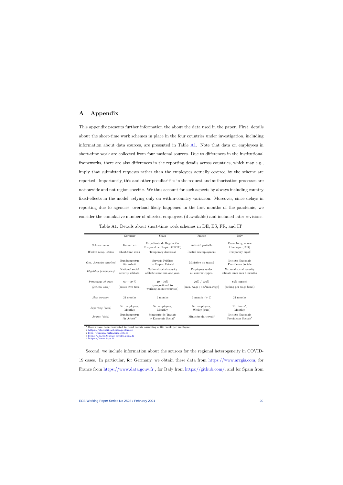## A Appendix

This appendix presents further information the about the data used in the paper. First, details about the short-time work schemes in place in the four countries under investigation, including information about data sources, are presented in Table [A1.](#page-20-1) Note that data on employees in short-time work are collected from four national sources. Due to differences in the institutional frameworks, there are also differences in the reporting details across countries, which may e.g., imply that submitted requests rather than the employees actually covered by the scheme are reported. Importantly, this and other peculiarities in the request and authorisation processes are nationwide and not region specific. We thus account for such aspects by always including country fixed-effects in the model, relying only on within-country variation. Moreover, since delays in reporting due to agencies' overload likely happened in the first months of the pandemic, we consider the cumulative number of affected employees (if available) and included later revisions.

<span id="page-20-0"></span>

|                                          | Germany                                  | Spain                                                       | France                                                | Italy                                                              |
|------------------------------------------|------------------------------------------|-------------------------------------------------------------|-------------------------------------------------------|--------------------------------------------------------------------|
| <i>Scheme name</i>                       | Kurzarbeit                               | Expediente de Regulación<br>Temporal de Empleo (ERTE)       | Activité partielle                                    | Cassa Integrazione<br>Guadagni (CIG)                               |
| Worker temp. status                      | Short-time work                          | Temporary dismissal                                         | Partial unemployment                                  | Temporary layoff                                                   |
| Gov. Agencies involved                   | Bundesagentur<br>für Arbeit              | Servicio Público<br>de Empleo Estatal                       | Ministère du travail                                  | Istituto Nazionale<br>Previdenza Sociale                           |
| Eligibility (employees)                  | National social                          | National social security                                    | Employees under                                       | National social security                                           |
|                                          | security affiliate.                      | affiliate since min one year.                               | all contract types.                                   | affiliate since min 3 months.                                      |
| Percentage of wage<br>$(qeneral \ case)$ | $60 - 90\%$<br>(raises over time)        | $10 - 70\%$<br>(proportional to<br>working hours reduction) | 70% / 100%<br>${\rm [min. \,\, wage : 4.5*min.wage]}$ | $80\%$ capped<br>(ceiling per wage band)                           |
| Max duration                             | 24 months                                | 6 months                                                    | 6 months $(+ 6)$                                      | 24 months                                                          |
| Reporting (data)                         | Nr. employees,<br>Monthly                | Nr. employees,<br>Monthly                                   | Nr. employees,<br>Weekly (cum)                        | $Nr. hours^*,$<br>Monthly                                          |
| Source (data)                            | Bundesagentur<br>für Arbeit <sup>a</sup> | Ministerio de Trabajo<br>y Economia Social <sup>b</sup>     | Ministère du travail <sup>c</sup>                     | Istituto Nazionale<br>Previdenza Sociale <sup><math>d</math></sup> |

Table A1: Details about short-time work schemes in DE, ES, FR, and IT

<span id="page-20-1"></span>\* Hours have been converted in head counts assuming a 40h week per employee.

a [https://statistik.arbeitsagentur.de](https://statistik.arbeitsagentur.de/nn_32018/SiteGlobals/Forms/Rubrikensuche/Rubrikensuche_Suchergebnis_Form.html?view=processForm&resourceId=210358&input_=&pageLocale=de&topicId=17558®ion=&year_month=201901&year_month.GROUP=1&search=Suchen)

b [http://prensa.mitramiss.gob.es](http://prensa.mitramiss.gob.es/WebPrensa/noticias/seguridadsocial/detalle/3798) c [https://dares.travail-emploi.gouv.fr](https://dares.travail-emploi.gouv.fr/DARES-Etudes-et-statistiques/tableaux-de-bord/le-marche-du-travail-pendant-le-covid-19/tableaux-de-bord-hebdomadaires/) d <https://www.inps.it>

Second, we include information about the sources for the regional heterogeneity in COVID-19 cases. In particular, for Germany, we obtain these data from [https://www.arcgis.com,](https://www.arcgis.com/home/item.html?id=f10774f1c63e40168479a1feb6c7ca74) for France from [https://www.data.gouv.fr](https://www.data.gouv.fr/fr/datasets/donnees-relatives-aux-tests-de-depistage-de-covid-19-realises-en-laboratoire-de-ville/) , for Italy from [https://github.com/,](https://github.com/pcm-dpc/COVID-19/blob/master/dati-regioni/dpc-covid19-ita-regioni.csv) and for Spain from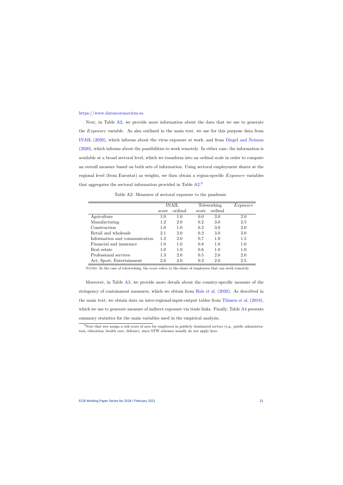#### [https://www.datoscoronavirus.es.](https://www.datoscoronavirus.es/datos_completos_ccaa_dashboard.php)

Next, in Table [A2,](#page-21-0) we provide more information about the data that we use to generate the Exposure variable. As also outlined in the main text, we use for this purpose data from [INAIL](#page-18-8) [\(2020\)](#page-18-8), which informs about the virus exposure at work, and from [Dingel and Neiman](#page-18-2) [\(2020\)](#page-18-2), which informs about the possibilities to work remotely. In either case, the information is available at a broad sectoral level, which we transform into an ordinal scale in order to compute an overall measure based on both sets of information. Using sectoral employment shares at the regional level (from Eurostat) as weights, we then obtain a region-specific Exposure variables that aggregates the sectoral information provided in Table [A2.](#page-21-0)<sup>[9](#page-2-0)</sup>

|                               | <b>INAIL</b> |         | Teleworking |         | Exposure |
|-------------------------------|--------------|---------|-------------|---------|----------|
|                               | score        | ordinal | score       | ordinal |          |
| Agriculture                   | 1.0          | 1.0     | 0.0         | 3.0     | 2.0      |
| Manufacturing                 | 1.2          | 2.0     | 0.2         | 3.0     | 2.5      |
| Construction                  | 1.0          | 1.0     | 0.2         | 3.0     | 2.0      |
| Retail and wholesale          | 2.1          | 3.0     | 0.2         | 3.0     | 3.0      |
| Information and communication | 1.2          | 2.0     | 0.7         | 1.0     | 1.5      |
| Financial and insurance       | 1.0          | 1.0     | 0.8         | 1.0     | $1.0\,$  |
| Real estate                   | 1.0          | 1.0     | 0.6         | 1.0     | 1.0      |
| Professional services         | 1.3          | 2.0     | 0.5         | 2.0     | 2.0      |
| Art, Sport, Entertainment     | 2.6          | 3.0     | 0.3         | 2.0     | 2.5      |

Table A2: Measures of sectoral exposure to the pandemic

NOTES: In the case of teleworking, the score refers to the share of employees that can work remotely.

<span id="page-21-0"></span>Moreover, in Table [A3,](#page-22-1) we provide more details about the country-specific measure of the stringency of containment measures, which we obtain from [Hale et al.](#page-18-9) [\(2020\)](#page-18-9). As described in the main text, we obtain data on inter-regional-input-output tables from [Thissen et al.](#page-19-1) [\(2019\)](#page-19-1), which we use to generate measure of indirect exposure via trade links. Finally, Table [A4](#page-22-0) presents summary statistics for the main variables used in the empirical analysis.

<sup>&</sup>lt;sup>9</sup>Note that wee assign a risk score of zero for employees in publicly dominated sectors (e.g., public administration, education, health care, defense), since STW schemes usually do not apply here.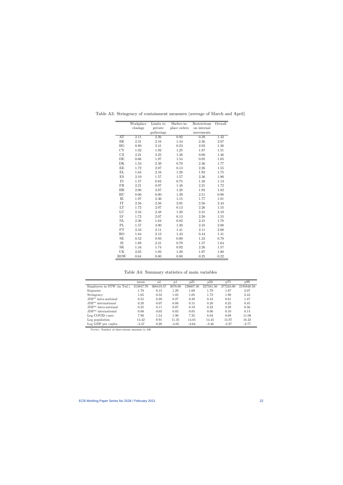|                     | Workplace | Limits to  | Shelter-in-  | Restrictions | Overall |
|---------------------|-----------|------------|--------------|--------------|---------|
|                     | closings  | private    | place orders | on internal  |         |
|                     |           | gatherings |              | movements    |         |
| AT                  | 2.11      | 2.26       | 0.92         | 0.39         | 1.42    |
| BE                  | 2.31      | 2.16       | 1.44         | 2.36         | 2.07    |
| BG                  | 0.80      | 2.41       | 0.23         | 2.02         | 1.36    |
| CY                  | 1.02      | 1.92       | 1.25         | 1.87         | 1.51    |
| $\operatorname{CZ}$ | 2.21      | 2.25       | 1.38         | 0.00         | 1.46    |
| DE                  | 0.66      | 1.97       | 1.54         | 0.05         | 1.05    |
| DK                  | 1.53      | 2.39       | 0.79         | 2.36         | 1.77    |
| EE                  | 1.72      | 2.07       | 0.13         | 2.26         | 1.55    |
| EL                  | 1.64      | 2.16       | 1.28         | $1.92\,$     | 1.75    |
| ES                  | 2.10      | 1.57       | 1.57         | 2.36         | 1.90    |
| $\rm{FI}$           | 1.57      | 0.82       | 0.75         | 1.38         | 1.13    |
| FR                  | 2.21      | 0.97       | 1.48         | 2.21         | 1.72    |
| HR                  | 2.00      | 2.07       | 1.28         | 1.92         | 1.82    |
| HU                  | 0.00      | 0.00       | 1.39         | 2.51         | 0.98    |
| IE                  | 1.97      | 2.36       | 1.15         | 1.77         | 1.81    |
| IT                  | 2.56      | 2.56       | $2.05\,$     | 2.56         | 2.43    |
| LT                  | 1.72      | 2.07       | 0.13         | 2.26         | 1.55    |
| LU                  | 2.33      | 2.48       | 1.30         | 2.31         | 2.10    |
| ${\rm LV}$          | 1.72      | 2.07       | 0.13         | 2.26         | 1.55    |
| NL                  | 2.36      | 1.64       | 0.82         | 2.31         | 1.78    |
| PL                  | 1.57      | 3.00       | 1.30         | 2.45         | 2.08    |
| PT                  | 2.34      | 2.11       | 1.41         | 2.11         | 2.00    |
| R <sub>O</sub>      | 1.64      | 2.13       | 1.43         | 0.44         | 1.41    |
| SE                  | 0.52      | 0.93       | 0.00         | 1.33         | 0.70    |
| $\rm{SI}$           | 1.89      | 2.31       | 0.79         | 1.57         | 1.64    |
| SK                  | 1.34      | 1.74       | 0.92         | 2.26         | 1.57    |
| UK                  | 2.05      | 1.92       | 1.28         | 1.97         | 1.80    |
| <b>ROW</b>          | 0.64      | 0.00       | 0.00         | 0.25         | 0.22    |

<span id="page-22-1"></span>Table A3: Stringency of containment measures (average of March and April)

Table A4: Summary statistics of main variables

| p75                    | p99        |
|------------------------|------------|
| 227581.50<br>377243.00 | 2195840.50 |
| 1.87                   | 2.07       |
| 1.90                   | 2.43       |
| 0.61                   | 1.47       |
| 0.25                   | 0.45       |
| 0.28                   | 0.56       |
| 0.10                   | 0.14       |
| 8.69                   | 11.08      |
| 15.07                  | 16.22      |
| $-3.27$                | $-2.77$    |
|                        |            |

<span id="page-22-0"></span>NOTES: Number of observations amounts to 100.